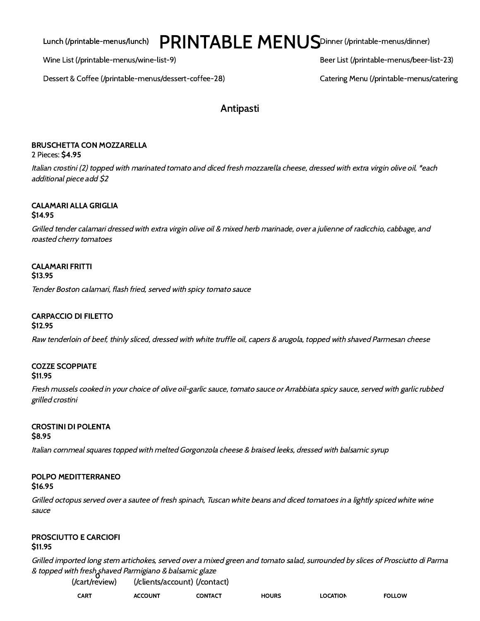Lunch (/printable-menus/lunch)  $PRINTABLE MENUS$  $PRINTABLE MENUS$ Dinner [\(/printable-menus/dinner\)](https://pastadarte.com/printable-menus/dinner)

Wine List [\(/printable-menus/wine-list-9\)](https://pastadarte.com/printable-menus/wine-list-9) Beer List [\(/printable-menus/beer-list-23\)](https://pastadarte.com/printable-menus/beer-list-23)

Dessert & Coffee [\(/printable-menus/dessert-coffee-28\)](https://pastadarte.com/printable-menus/dessert-coffee-28) Catering Menu [\(/printable-menus/catering](https://pastadarte.com/printable-menus/catering-menu-53)

# Antipasti

# BRUSCHETTA CON MOZZARELLA

2 Pieces: \$4.95

Italian crostini (2) topped with marinated tomato and diced fresh mozzarella cheese, dressed with extra virgin olive oil. \*each additional piece add \$2

# CALAMARI ALLA GRIGLIA

## \$14.95

Grilled tender calamari dressed with extra virgin olive oil & mixed herb marinade, over <sup>a</sup> julienne of radicchio, cabbage, and roasted cherry tomatoes

#### CALAMARI FRITTI \$13.95

Tender Boston calamari, flash fried, served with spicy tomato sauce

# CARPACCIO DI FILETTO

#### \$12.95

Raw tenderloin of beef, thinly sliced, dressed with white truffle oil, capers & arugola, topped with shaved Parmesan cheese

## COZZE SCOPPIATE

#### \$11.95

Fresh mussels cooked in your choice of olive oil-garlic sauce, tomato sauce or Arrabbiata spicy sauce, served with garlic rubbed grilled crostini

# CROSTINI DI POLENTA

#### \$8.95

Italian cornmeal squares topped with melted Gorgonzola cheese & braised leeks, dressed with balsamic syrup

# POLPO MEDITTERRANEO

#### \$16.95

Grilled octopus served over <sup>a</sup> sautee of fresh spinach, Tuscan white beans and diced tomatoes in <sup>a</sup> lightly spiced white wine sauce

# PROSCIUTTO E CARCIOFI

## \$11.95

Grilled imported long stem artichokes, served over <sup>a</sup> mixed green and tomato salad, surrounded by slices of Prosciutto di Parma & topped with fresh<sub>o</sub>shaved Parmigiano & balsamic glaze

[\(/cart/review\)](https://pastadarte.com/cart/review) CART [\(/clients/account\)](https://pastadarte.com/clients/account) [\(/contact\)](https://pastadarte.com/contact) ACCOUNT CONTACT HOURS LOCATION FOLLOW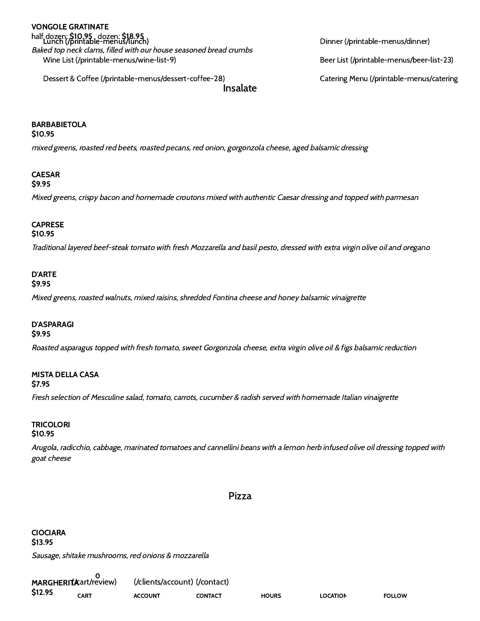# half dozen: **\$10.95 dozen: \$18.95**<br>Lunch [\(/printable-menus/lunch\)](https://pastadarte.com/printable-menus/lunch) die die eerste menus/dinner [\(/printable-menus/dinner\)](https://pastadarte.com/printable-menus/dinner) VONGOLE GRATINATE

Wine List [\(/printable-menus/wine-list-9\)](https://pastadarte.com/printable-menus/wine-list-9) Beer List [\(/printable-menus/beer-list-23\)](https://pastadarte.com/printable-menus/beer-list-23) Baked top neck clams, filled with our house seasoned bread crumbs

Insalate Dessert & Coffee [\(/printable-menus/dessert-coffee-28\)](https://pastadarte.com/printable-menus/dessert-coffee-28) Catering Menu [\(/printable-menus/catering](https://pastadarte.com/printable-menus/catering-menu-53)

# BARBABIETOLA

### \$10.95

mixed greens, roasted red beets, roasted pecans, red onion, gorgonzola cheese, aged balsamic dressing

### CAESAR

```
$9.95
```
Mixed greens, crispy bacon and homemade croutons mixed with authentic Caesar dressing and topped with parmesan

### CAPRESE

#### \$10.95

Traditional layered beef-steak tomato with fresh Mozzarella and basil pesto, dressed with extra virgin olive oil and oregano

# D'ARTE

## \$9.95

Mixed greens, roasted walnuts, mixed raisins, shredded Fontina cheese and honey balsamic vinaigrette

### D'ASPARAGI

#### \$9.95

Roasted asparagus topped with fresh tomato, sweet Gorgonzola cheese, extra virgin olive oil & figs balsamic reduction

# MISTA DELLA CASA

### \$7.95

Fresh selection of Mesculine salad, tomato, carrots, cucumber & radish served with homemade Italian vinaigrette

# **TRICOLORI**

### \$10.95

Arugola, radicchio, cabbage, marinated tomatoes and cannellini beans with <sup>a</sup> lemon herb infused olive oil dressing topped with goat cheese

### Pizza

Sausage, shitake mushrooms, red onions & mozzarella CIOCIARA \$13.95

MARGHERITA art/review) \$12.95 0 CART [\(/clients/account\)](https://pastadarte.com/clients/account) [\(/contact\)](https://pastadarte.com/contact) ACCOUNT CONTACT HOURS LOCATION FOLLOW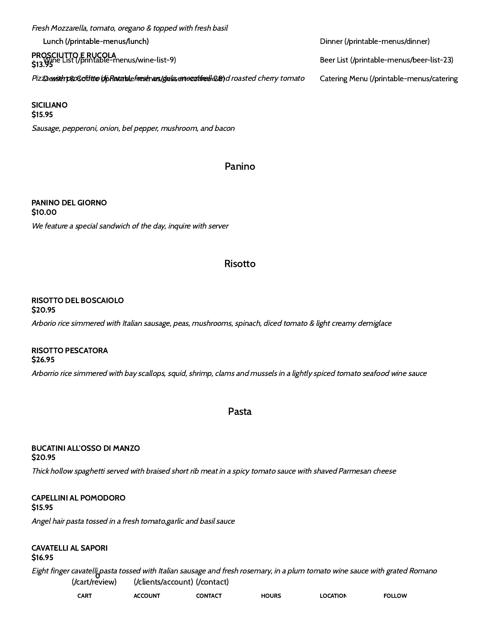Lunch [\(/printable-menus/lunch\)](https://pastadarte.com/printable-menus/lunch) Dinner [\(/printable-menus/dinner\)](https://pastadarte.com/printable-menus/dinner) PROSCIUTTO E RUCOLA<br>e12 Wine List [\(/printable-menus/wine-list-9\)](https://pastadarte.com/printable-menus/wine-list-9) Beer List [\(/printable-menus/beer-list-23\)](https://pastadarte.com/printable-menus/beer-list-23) Piz**za with proscititie (dpflanatde<del>fnach urs/gelssen ezathed 22)</del> d***roasted cherry tomato* **Catering Menu [\(/printable-menus/catering](https://pastadarte.com/printable-menus/catering-menu-53)** Fresh Mozzarella, tomato, oregano & topped with fresh basil \$13.95

Sausage, pepperoni, onion, bel pepper, mushroom, and bacon SICILIANO \$15.95

# Panino

We feature <sup>a</sup> special sandwich of the day, inquire with server PANINO DEL GIORNO \$10.00

# Risotto

#### RISOTTO DEL BOSCAIOLO \$20.95

Arborio rice simmered with Italian sausage, peas, mushrooms, spinach, diced tomato & light creamy demiglace

#### RISOTTO PESCATORA \$26.95

Arborrio rice simmered with bay scallops, squid, shrimp, clams and mussels in <sup>a</sup> lightly spiced tomato seafood wine sauce

Pasta

#### BUCATINI ALL'OSSO DI MANZO \$20.95

Thick hollow spaghetti served with braised short rib meat in <sup>a</sup> spicy tomato sauce with shaved Parmesan cheese

#### CAPELLINI AL POMODORO \$15.95

Angel hair pasta tossed in <sup>a</sup> fresh tomato,garlic and basil sauce

# CAVATELLI AL SAPORI

\$16.95

Eight finger cavatelli pasta tossed with Italian sausage and fresh rosemary, in <sup>a</sup> plum tomato wine sauce with grated Romano 0 [\(/cart/review\)](https://pastadarte.com/cart/review) [\(/clients/account\)](https://pastadarte.com/clients/account) [\(/contact\)](https://pastadarte.com/contact)

| CART | <b>ACCOUNT</b> | CONTACT | <b>HOURS</b> | <b>LOCATION</b> | <b>FOLLOW</b> |
|------|----------------|---------|--------------|-----------------|---------------|
|      |                |         |              |                 |               |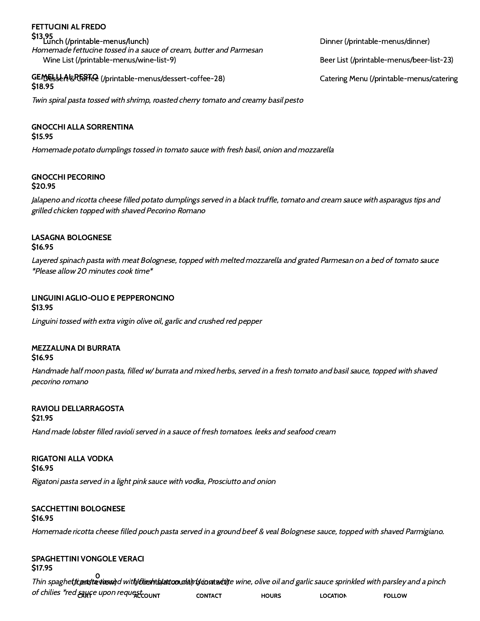### Lunch [\(/printable-menus/lunch\)](https://pastadarte.com/printable-menus/lunch) Dinner [\(/printable-menus/dinner\)](https://pastadarte.com/printable-menus/dinner) \$13.95 Wine List [\(/printable-menus/wine-list-9\)](https://pastadarte.com/printable-menus/wine-list-9) Beer List [\(/printable-menus/beer-list-23\)](https://pastadarte.com/printable-menus/beer-list-23) Homemade fettucine tossed in <sup>a</sup> sauce of cream, butter and Parmesan FETTUCINI AL FREDO

GEMELLALRESTRe [\(/printable-menus/dessert-coffee-28\)](https://pastadarte.com/printable-menus/dessert-coffee-28) Catering Menu [\(/printable-menus/catering](https://pastadarte.com/printable-menus/catering-menu-53) \$18.95

Twin spiral pasta tossed with shrimp, roasted cherry tomato and creamy basil pesto

## GNOCCHI ALLA SORRENTINA

#### \$15.95

Homemade potato dumplings tossed in tomato sauce with fresh basil, onion and mozzarella

#### GNOCCHI PECORINO \$20.95

Jalapeno and ricotta cheese filled potato dumplings served in <sup>a</sup> black truffle, tomato and cream sauce with asparagus tips and grilled chicken topped with shaved Pecorino Romano

#### LASAGNA BOLOGNESE \$16.95

Layered spinach pasta with meat Bolognese, topped with melted mozzarella and grated Parmesan on <sup>a</sup> bed of tomato sauce \*Please allow 20 minutes cook time\*

### LINGUINI AGLIO-OLIO E PEPPERONCINO

Linguini tossed with extra virgin olive oil, garlic and crushed red pepper \$13.95

#### MEZZALUNA DI BURRATA \$16.95

Handmade half moon pasta, filled w/ burrata and mixed herbs, served in <sup>a</sup> fresh tomato and basil sauce, topped with shaved pecorino romano

#### RAVIOLI DELL'ARRAGOSTA \$21.95

Hand made lobster filled ravioli served in <sup>a</sup> sauce of fresh tomatoes. leeks and seafood cream

#### RIGATONI ALLA VODKA \$16.95

Rigatoni pasta served in <sup>a</sup> light pink sauce with vodka, Prosciutto and onion

# SACCHETTINI BOLOGNESE

#### \$16.95

Homemade ricotta cheese filled pouch pasta served in <sup>a</sup> ground beef & veal Bolognese sauce, topped with shaved Parmigiano.

#### SPAGHETTINI VONGOLE VERACI \$17.95

Thin spaghetticant textossed with the ship by the ondam gardanty e wine, olive oil and garlic sauce sprinkled with parsley and a pinch of chilies \*red saure upon request <sub>count</sub> 0 h/clieshtb/attoourha)r(sioratucti)\* CONTACT HOURS LOCATION FOLLOW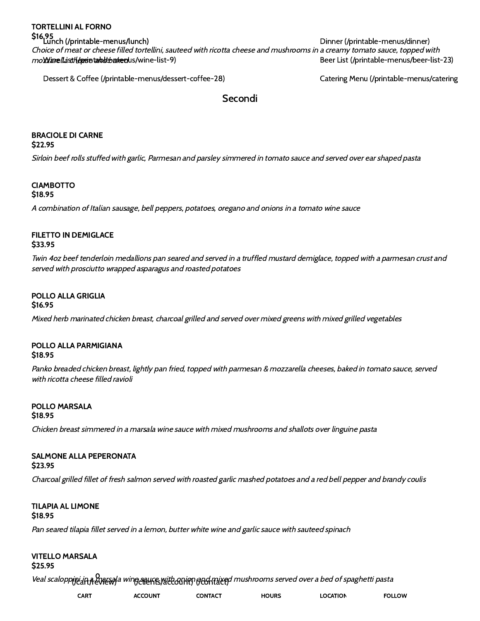Dessert & Coffee [\(/printable-menus/dessert-coffee-28\)](https://pastadarte.com/printable-menus/dessert-coffee-28) Catering Menu [\(/printable-menus/catering](https://pastadarte.com/printable-menus/catering-menu-53)

### Secondi

### BRACIOLE DI CARNE

\$22.95

Sirloin beef rolls stuffed with garlic, Parmesan and parsley simmered in tomato sauce and served over ear shaped pasta

# **CIAMBOTTO**

\$18.95

<sup>A</sup> combination of Italian sausage, bell peppers, potatoes, oregano and onions in <sup>a</sup> tomato wine sauce

#### FILETTO IN DEMIGLACE \$33.95

Twin 4oz beef tenderloin medallions pan seared and served in <sup>a</sup> truffled mustard demiglace, topped with <sup>a</sup> parmesan crust and served with prosciutto wrapped asparagus and roasted potatoes

## POLLO ALLA GRIGLIA

Mixed herb marinated chicken breast, charcoal grilled and served over mixed greens with mixed grilled vegetables \$16.95

#### POLLO ALLA PARMIGIANA \$18.95

Panko breaded chicken breast, lightly pan fried, topped with parmesan & mozzarella cheeses, baked in tomato sauce, served with ricotta cheese filled ravioli

#### POLLO MARSALA \$18.95

Chicken breast simmered in <sup>a</sup> marsala wine sauce with mixed mushrooms and shallots over linguine pasta

#### SALMONE ALLA PEPERONATA \$23.95

Charcoal grilled fillet of fresh salmon served with roasted garlic mashed potatoes and <sup>a</sup> red bell pepper and brandy coulis

#### TILAPIA AL LIMONE \$18.95

Pan seared tilapia fillet served in <sup>a</sup> lemon, butter white wine and garlic sauce with sauteed spinach

# VITELLO MARSALA

\$25.95

Veal scaloppini in a marsala wing enure with onion ged mixed mushrooms served over a bed of spaghetti pasta  $\overline{0}$ IGER<del>UKE</del>S/AEEEGUKPJ (JEGHTAEEF

|  | <b>CART</b> | <b>ACCOUNT</b> | CONTACT | <b>HOURS</b> | <b>OCATION</b> | <b>OLLOW</b> |
|--|-------------|----------------|---------|--------------|----------------|--------------|
|--|-------------|----------------|---------|--------------|----------------|--------------|